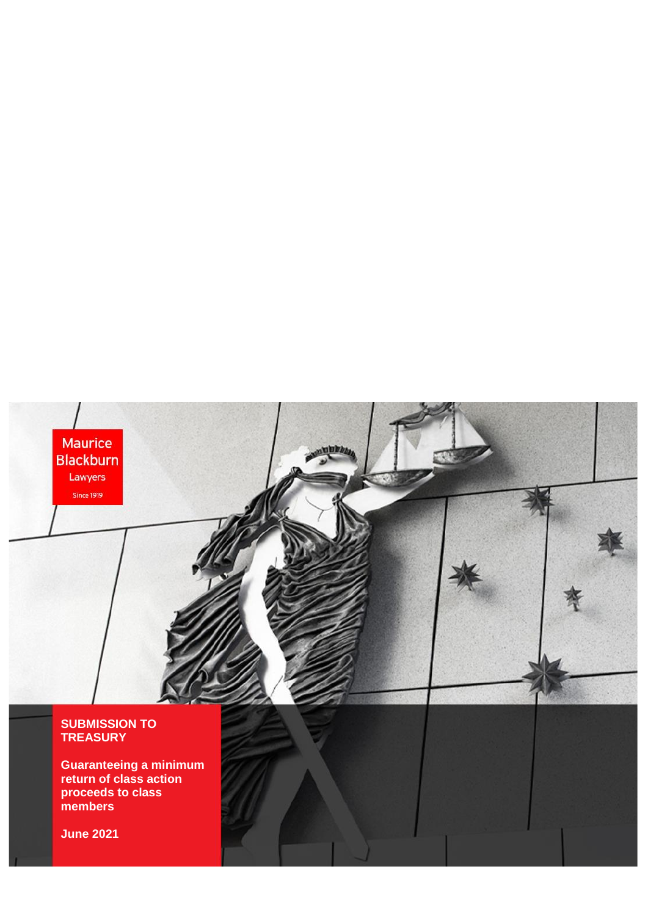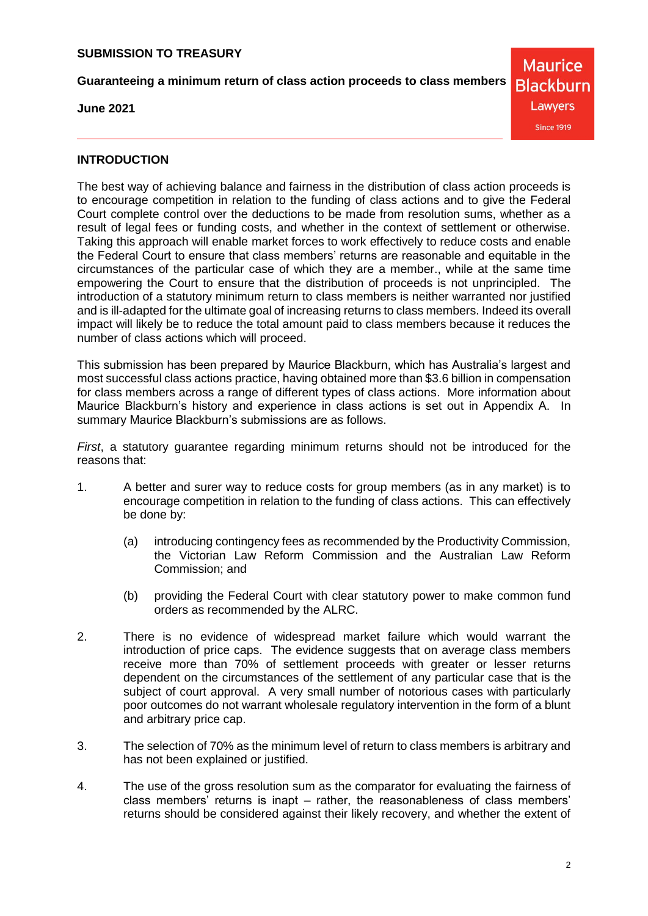**Guaranteeing a minimum return of class action proceeds to class members**

**June 2021**

**Maurice Blackburn** Lawyers **Since 1919** 

**INTRODUCTION**

The best way of achieving balance and fairness in the distribution of class action proceeds is to encourage competition in relation to the funding of class actions and to give the Federal Court complete control over the deductions to be made from resolution sums, whether as a result of legal fees or funding costs, and whether in the context of settlement or otherwise. Taking this approach will enable market forces to work effectively to reduce costs and enable the Federal Court to ensure that class members' returns are reasonable and equitable in the circumstances of the particular case of which they are a member., while at the same time empowering the Court to ensure that the distribution of proceeds is not unprincipled. The introduction of a statutory minimum return to class members is neither warranted nor justified and is ill-adapted for the ultimate goal of increasing returns to class members. Indeed its overall impact will likely be to reduce the total amount paid to class members because it reduces the number of class actions which will proceed.

This submission has been prepared by Maurice Blackburn, which has Australia's largest and most successful class actions practice, having obtained more than \$3.6 billion in compensation for class members across a range of different types of class actions. More information about Maurice Blackburn's history and experience in class actions is set out in Appendix A. In summary Maurice Blackburn's submissions are as follows.

*First*, a statutory guarantee regarding minimum returns should not be introduced for the reasons that:

- 1. A better and surer way to reduce costs for group members (as in any market) is to encourage competition in relation to the funding of class actions. This can effectively be done by:
	- (a) introducing contingency fees as recommended by the Productivity Commission, the Victorian Law Reform Commission and the Australian Law Reform Commission; and
	- (b) providing the Federal Court with clear statutory power to make common fund orders as recommended by the ALRC.
- 2. There is no evidence of widespread market failure which would warrant the introduction of price caps. The evidence suggests that on average class members receive more than 70% of settlement proceeds with greater or lesser returns dependent on the circumstances of the settlement of any particular case that is the subject of court approval. A very small number of notorious cases with particularly poor outcomes do not warrant wholesale regulatory intervention in the form of a blunt and arbitrary price cap.
- 3. The selection of 70% as the minimum level of return to class members is arbitrary and has not been explained or justified.
- 4. The use of the gross resolution sum as the comparator for evaluating the fairness of class members' returns is inapt – rather, the reasonableness of class members' returns should be considered against their likely recovery, and whether the extent of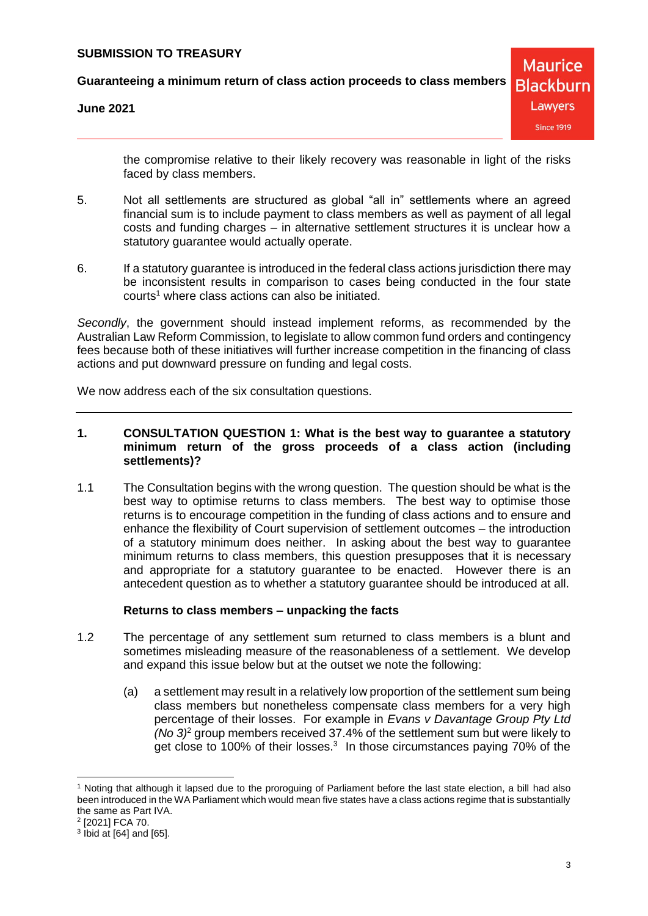**Guaranteeing a minimum return of class action proceeds to class members**

**June 2021**

**Maurice Blackburn** Lawyers **Since 1919** 

the compromise relative to their likely recovery was reasonable in light of the risks faced by class members.

- 5. Not all settlements are structured as global "all in" settlements where an agreed financial sum is to include payment to class members as well as payment of all legal costs and funding charges – in alternative settlement structures it is unclear how a statutory guarantee would actually operate.
- 6. If a statutory guarantee is introduced in the federal class actions jurisdiction there may be inconsistent results in comparison to cases being conducted in the four state  $counts<sup>1</sup>$  where class actions can also be initiated.

*Secondly*, the government should instead implement reforms, as recommended by the Australian Law Reform Commission, to legislate to allow common fund orders and contingency fees because both of these initiatives will further increase competition in the financing of class actions and put downward pressure on funding and legal costs.

We now address each of the six consultation questions.

### **1. CONSULTATION QUESTION 1: What is the best way to guarantee a statutory minimum return of the gross proceeds of a class action (including settlements)?**

1.1 The Consultation begins with the wrong question. The question should be what is the best way to optimise returns to class members. The best way to optimise those returns is to encourage competition in the funding of class actions and to ensure and enhance the flexibility of Court supervision of settlement outcomes – the introduction of a statutory minimum does neither. In asking about the best way to guarantee minimum returns to class members, this question presupposes that it is necessary and appropriate for a statutory guarantee to be enacted. However there is an antecedent question as to whether a statutory guarantee should be introduced at all.

#### **Returns to class members – unpacking the facts**

- 1.2 The percentage of any settlement sum returned to class members is a blunt and sometimes misleading measure of the reasonableness of a settlement. We develop and expand this issue below but at the outset we note the following:
	- (a) a settlement may result in a relatively low proportion of the settlement sum being class members but nonetheless compensate class members for a very high percentage of their losses. For example in *Evans v Davantage Group Pty Ltd (No 3)*<sup>2</sup> group members received 37.4% of the settlement sum but were likely to get close to 100% of their losses.<sup>3</sup> In those circumstances paying 70% of the

 $\overline{a}$ 

<sup>1</sup> Noting that although it lapsed due to the proroguing of Parliament before the last state election, a bill had also been introduced in the WA Parliament which would mean five states have a class actions regime that is substantially the same as Part IVA.

<sup>2</sup> [2021] FCA 70.

 $3$  lbid at [64] and [65].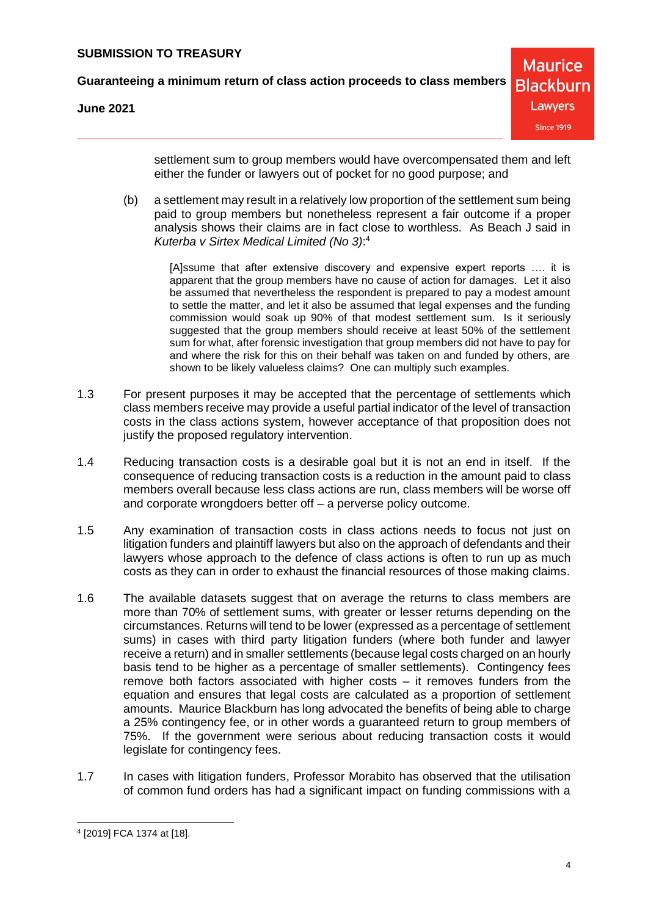**Guaranteeing a minimum return of class action proceeds to class members**

**June 2021**

settlement sum to group members would have overcompensated them and left either the funder or lawyers out of pocket for no good purpose; and

(b) a settlement may result in a relatively low proportion of the settlement sum being paid to group members but nonetheless represent a fair outcome if a proper analysis shows their claims are in fact close to worthless. As Beach J said in *Kuterba v Sirtex Medical Limited (No 3)*: 4

> [A]ssume that after extensive discovery and expensive expert reports …. it is apparent that the group members have no cause of action for damages. Let it also be assumed that nevertheless the respondent is prepared to pay a modest amount to settle the matter, and let it also be assumed that legal expenses and the funding commission would soak up 90% of that modest settlement sum. Is it seriously suggested that the group members should receive at least 50% of the settlement sum for what, after forensic investigation that group members did not have to pay for and where the risk for this on their behalf was taken on and funded by others, are shown to be likely valueless claims? One can multiply such examples.

- 1.3 For present purposes it may be accepted that the percentage of settlements which class members receive may provide a useful partial indicator of the level of transaction costs in the class actions system, however acceptance of that proposition does not justify the proposed regulatory intervention.
- 1.4 Reducing transaction costs is a desirable goal but it is not an end in itself. If the consequence of reducing transaction costs is a reduction in the amount paid to class members overall because less class actions are run, class members will be worse off and corporate wrongdoers better off – a perverse policy outcome.
- 1.5 Any examination of transaction costs in class actions needs to focus not just on litigation funders and plaintiff lawyers but also on the approach of defendants and their lawyers whose approach to the defence of class actions is often to run up as much costs as they can in order to exhaust the financial resources of those making claims.
- 1.6 The available datasets suggest that on average the returns to class members are more than 70% of settlement sums, with greater or lesser returns depending on the circumstances. Returns will tend to be lower (expressed as a percentage of settlement sums) in cases with third party litigation funders (where both funder and lawyer receive a return) and in smaller settlements (because legal costs charged on an hourly basis tend to be higher as a percentage of smaller settlements). Contingency fees remove both factors associated with higher costs – it removes funders from the equation and ensures that legal costs are calculated as a proportion of settlement amounts. Maurice Blackburn has long advocated the benefits of being able to charge a 25% contingency fee, or in other words a guaranteed return to group members of 75%. If the government were serious about reducing transaction costs it would legislate for contingency fees.
- 1.7 In cases with litigation funders, Professor Morabito has observed that the utilisation of common fund orders has had a significant impact on funding commissions with a

<sup>4</sup> [2019] FCA 1374 at [18].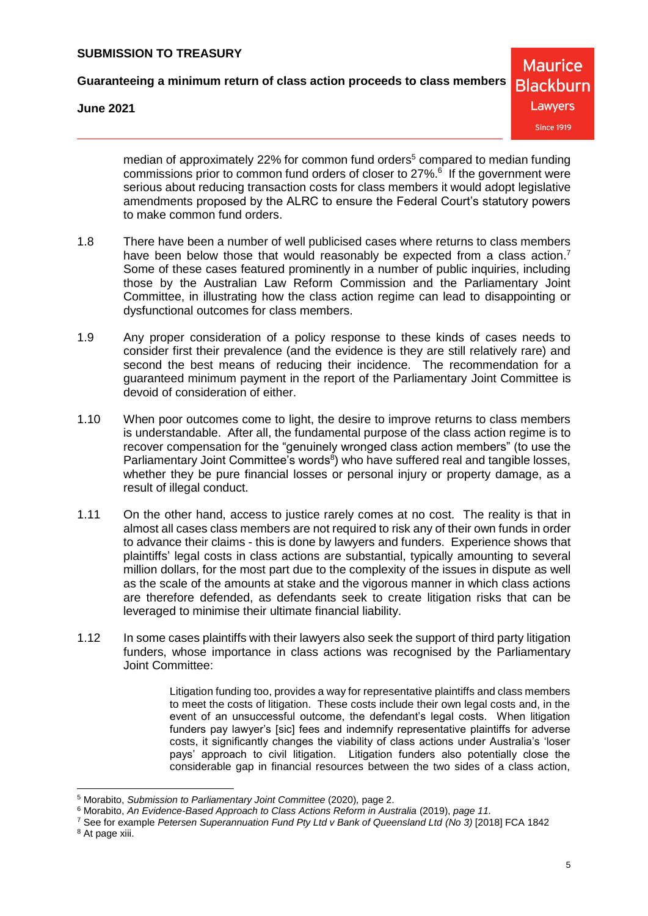**Guaranteeing a minimum return of class action proceeds to class members**

**June 2021**

**Maurice Blackburn** Lawyers **Since 1919** 

median of approximately 22% for common fund orders<sup>5</sup> compared to median funding commissions prior to common fund orders of closer to 27%.<sup>6</sup> If the government were serious about reducing transaction costs for class members it would adopt legislative amendments proposed by the ALRC to ensure the Federal Court's statutory powers to make common fund orders.

- 1.8 There have been a number of well publicised cases where returns to class members have been below those that would reasonably be expected from a class action.<sup>7</sup> Some of these cases featured prominently in a number of public inquiries, including those by the Australian Law Reform Commission and the Parliamentary Joint Committee, in illustrating how the class action regime can lead to disappointing or dysfunctional outcomes for class members.
- 1.9 Any proper consideration of a policy response to these kinds of cases needs to consider first their prevalence (and the evidence is they are still relatively rare) and second the best means of reducing their incidence. The recommendation for a guaranteed minimum payment in the report of the Parliamentary Joint Committee is devoid of consideration of either.
- 1.10 When poor outcomes come to light, the desire to improve returns to class members is understandable. After all, the fundamental purpose of the class action regime is to recover compensation for the "genuinely wronged class action members" (to use the Parliamentary Joint Committee's words<sup>8</sup>) who have suffered real and tangible losses, whether they be pure financial losses or personal injury or property damage, as a result of illegal conduct.
- 1.11 On the other hand, access to justice rarely comes at no cost. The reality is that in almost all cases class members are not required to risk any of their own funds in order to advance their claims - this is done by lawyers and funders. Experience shows that plaintiffs' legal costs in class actions are substantial, typically amounting to several million dollars, for the most part due to the complexity of the issues in dispute as well as the scale of the amounts at stake and the vigorous manner in which class actions are therefore defended, as defendants seek to create litigation risks that can be leveraged to minimise their ultimate financial liability.
- 1.12 In some cases plaintiffs with their lawyers also seek the support of third party litigation funders, whose importance in class actions was recognised by the Parliamentary Joint Committee:

Litigation funding too, provides a way for representative plaintiffs and class members to meet the costs of litigation. These costs include their own legal costs and, in the event of an unsuccessful outcome, the defendant's legal costs. When litigation funders pay lawyer's [sic] fees and indemnify representative plaintiffs for adverse costs, it significantly changes the viability of class actions under Australia's 'loser pays' approach to civil litigation. Litigation funders also potentially close the considerable gap in financial resources between the two sides of a class action,

 $\overline{a}$ 

<sup>5</sup> Morabito, *Submission to Parliamentary Joint Committee* (2020)*,* page 2.

<sup>6</sup> Morabito, *An Evidence-Based Approach to Class Actions Reform in Australia* (2019), *page 11.* 

<sup>7</sup> See for example *Petersen Superannuation Fund Pty Ltd v Bank of Queensland Ltd (No 3)* [2018] FCA 1842

<sup>&</sup>lt;sup>8</sup> At page xiii.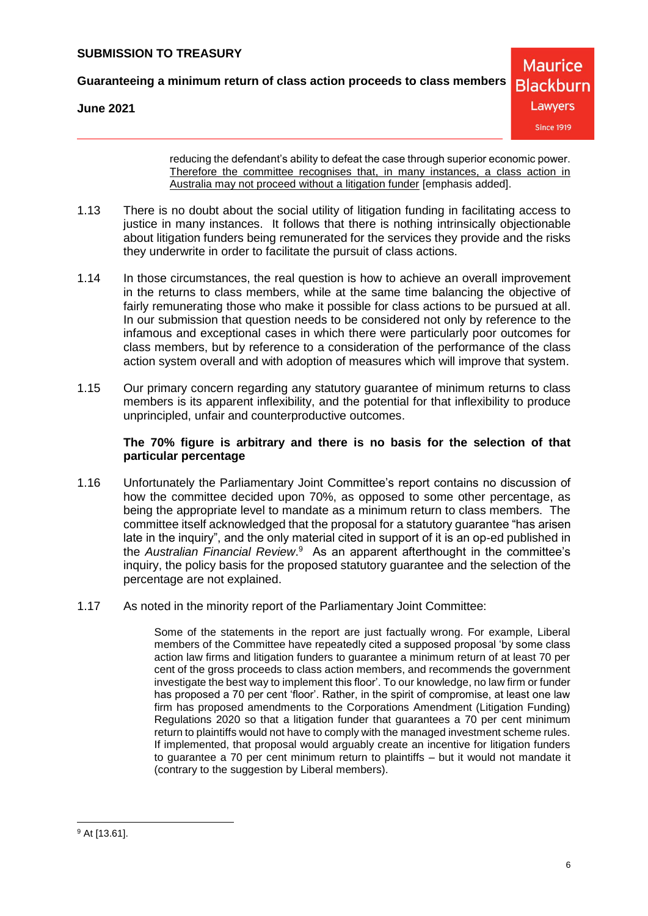**Guaranteeing a minimum return of class action proceeds to class members**

**June 2021**



reducing the defendant's ability to defeat the case through superior economic power. Therefore the committee recognises that, in many instances, a class action in Australia may not proceed without a litigation funder [emphasis added].

- 1.13 There is no doubt about the social utility of litigation funding in facilitating access to justice in many instances. It follows that there is nothing intrinsically objectionable about litigation funders being remunerated for the services they provide and the risks they underwrite in order to facilitate the pursuit of class actions.
- 1.14 In those circumstances, the real question is how to achieve an overall improvement in the returns to class members, while at the same time balancing the objective of fairly remunerating those who make it possible for class actions to be pursued at all. In our submission that question needs to be considered not only by reference to the infamous and exceptional cases in which there were particularly poor outcomes for class members, but by reference to a consideration of the performance of the class action system overall and with adoption of measures which will improve that system.
- 1.15 Our primary concern regarding any statutory guarantee of minimum returns to class members is its apparent inflexibility, and the potential for that inflexibility to produce unprincipled, unfair and counterproductive outcomes.

# **The 70% figure is arbitrary and there is no basis for the selection of that particular percentage**

- 1.16 Unfortunately the Parliamentary Joint Committee's report contains no discussion of how the committee decided upon 70%, as opposed to some other percentage, as being the appropriate level to mandate as a minimum return to class members. The committee itself acknowledged that the proposal for a statutory guarantee "has arisen late in the inquiry", and the only material cited in support of it is an op-ed published in the Australian Financial Review.<sup>9</sup> As an apparent afterthought in the committee's inquiry, the policy basis for the proposed statutory guarantee and the selection of the percentage are not explained.
- 1.17 As noted in the minority report of the Parliamentary Joint Committee:

Some of the statements in the report are just factually wrong. For example, Liberal members of the Committee have repeatedly cited a supposed proposal 'by some class action law firms and litigation funders to guarantee a minimum return of at least 70 per cent of the gross proceeds to class action members, and recommends the government investigate the best way to implement this floor'. To our knowledge, no law firm or funder has proposed a 70 per cent 'floor'. Rather, in the spirit of compromise, at least one law firm has proposed amendments to the Corporations Amendment (Litigation Funding) Regulations 2020 so that a litigation funder that guarantees a 70 per cent minimum return to plaintiffs would not have to comply with the managed investment scheme rules. If implemented, that proposal would arguably create an incentive for litigation funders to guarantee a 70 per cent minimum return to plaintiffs – but it would not mandate it (contrary to the suggestion by Liberal members).

 <sup>9</sup> At [13.61].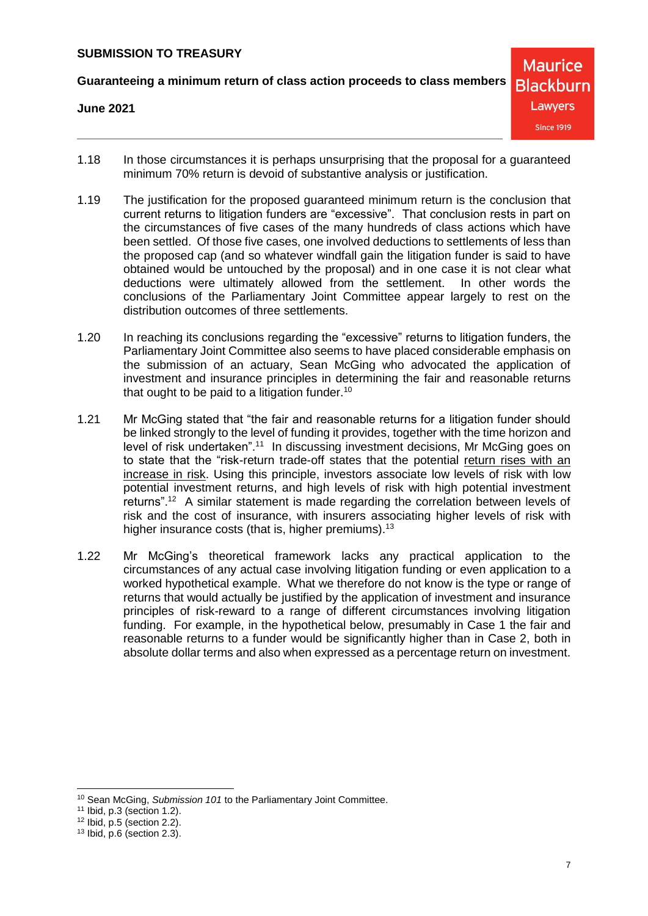**Guaranteeing a minimum return of class action proceeds to class members**

#### **June 2021**

- 1.18 In those circumstances it is perhaps unsurprising that the proposal for a guaranteed minimum 70% return is devoid of substantive analysis or justification.
- 1.19 The justification for the proposed guaranteed minimum return is the conclusion that current returns to litigation funders are "excessive". That conclusion rests in part on the circumstances of five cases of the many hundreds of class actions which have been settled. Of those five cases, one involved deductions to settlements of less than the proposed cap (and so whatever windfall gain the litigation funder is said to have obtained would be untouched by the proposal) and in one case it is not clear what deductions were ultimately allowed from the settlement. In other words the conclusions of the Parliamentary Joint Committee appear largely to rest on the distribution outcomes of three settlements.
- 1.20 In reaching its conclusions regarding the "excessive" returns to litigation funders, the Parliamentary Joint Committee also seems to have placed considerable emphasis on the submission of an actuary, Sean McGing who advocated the application of investment and insurance principles in determining the fair and reasonable returns that ought to be paid to a litigation funder.<sup>10</sup>
- 1.21 Mr McGing stated that "the fair and reasonable returns for a litigation funder should be linked strongly to the level of funding it provides, together with the time horizon and level of risk undertaken".<sup>11</sup> In discussing investment decisions, Mr McGing goes on to state that the "risk-return trade-off states that the potential return rises with an increase in risk. Using this principle, investors associate low levels of risk with low potential investment returns, and high levels of risk with high potential investment returns".<sup>12</sup> A similar statement is made regarding the correlation between levels of risk and the cost of insurance, with insurers associating higher levels of risk with higher insurance costs (that is, higher premiums).<sup>13</sup>
- 1.22 Mr McGing's theoretical framework lacks any practical application to the circumstances of any actual case involving litigation funding or even application to a worked hypothetical example. What we therefore do not know is the type or range of returns that would actually be justified by the application of investment and insurance principles of risk-reward to a range of different circumstances involving litigation funding. For example, in the hypothetical below, presumably in Case 1 the fair and reasonable returns to a funder would be significantly higher than in Case 2, both in absolute dollar terms and also when expressed as a percentage return on investment.

 $\overline{a}$ 

<sup>10</sup> Sean McGing, *Submission 101* to the Parliamentary Joint Committee.

<sup>11</sup> Ibid, p.3 (section 1.2).

 $12$  Ibid, p.5 (section 2.2).

<sup>13</sup> Ibid, p.6 (section 2.3).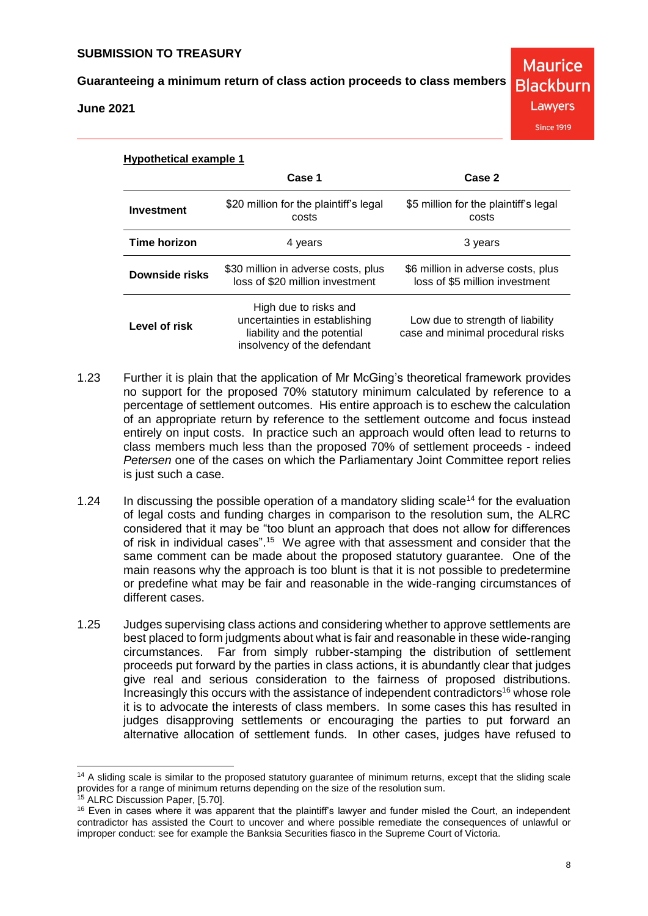**June 2021**

**Blackburn** Lawyers

**Maurice** 

**Since 1919** 

| <b>Hypothetical example 1</b> |                                                                                                                      |                                                                       |  |  |  |
|-------------------------------|----------------------------------------------------------------------------------------------------------------------|-----------------------------------------------------------------------|--|--|--|
|                               | Case 1                                                                                                               | Case 2                                                                |  |  |  |
| Investment                    | \$20 million for the plaintiff's legal<br>costs                                                                      | \$5 million for the plaintiff's legal<br>costs                        |  |  |  |
| <b>Time horizon</b>           | 4 years                                                                                                              | 3 years                                                               |  |  |  |
| Downside risks                | \$30 million in adverse costs, plus<br>loss of \$20 million investment                                               | \$6 million in adverse costs, plus<br>loss of \$5 million investment  |  |  |  |
| Level of risk                 | High due to risks and<br>uncertainties in establishing<br>liability and the potential<br>insolvency of the defendant | Low due to strength of liability<br>case and minimal procedural risks |  |  |  |

- 1.23 Further it is plain that the application of Mr McGing's theoretical framework provides no support for the proposed 70% statutory minimum calculated by reference to a percentage of settlement outcomes. His entire approach is to eschew the calculation of an appropriate return by reference to the settlement outcome and focus instead entirely on input costs. In practice such an approach would often lead to returns to class members much less than the proposed 70% of settlement proceeds - indeed *Petersen* one of the cases on which the Parliamentary Joint Committee report relies is just such a case.
- 1.24 In discussing the possible operation of a mandatory sliding scale<sup>14</sup> for the evaluation of legal costs and funding charges in comparison to the resolution sum, the ALRC considered that it may be "too blunt an approach that does not allow for differences of risk in individual cases".<sup>15</sup> We agree with that assessment and consider that the same comment can be made about the proposed statutory guarantee. One of the main reasons why the approach is too blunt is that it is not possible to predetermine or predefine what may be fair and reasonable in the wide-ranging circumstances of different cases.
- 1.25 Judges supervising class actions and considering whether to approve settlements are best placed to form judgments about what is fair and reasonable in these wide-ranging circumstances. Far from simply rubber-stamping the distribution of settlement proceeds put forward by the parties in class actions, it is abundantly clear that judges give real and serious consideration to the fairness of proposed distributions. Increasingly this occurs with the assistance of independent contradictors<sup>16</sup> whose role it is to advocate the interests of class members. In some cases this has resulted in judges disapproving settlements or encouraging the parties to put forward an alternative allocation of settlement funds. In other cases, judges have refused to

<sup>&</sup>lt;sup>14</sup> A sliding scale is similar to the proposed statutory guarantee of minimum returns, except that the sliding scale provides for a range of minimum returns depending on the size of the resolution sum.

<sup>15</sup> ALRC Discussion Paper, [5.70].

<sup>&</sup>lt;sup>16</sup> Even in cases where it was apparent that the plaintiff's lawyer and funder misled the Court, an independent contradictor has assisted the Court to uncover and where possible remediate the consequences of unlawful or improper conduct: see for example the Banksia Securities fiasco in the Supreme Court of Victoria.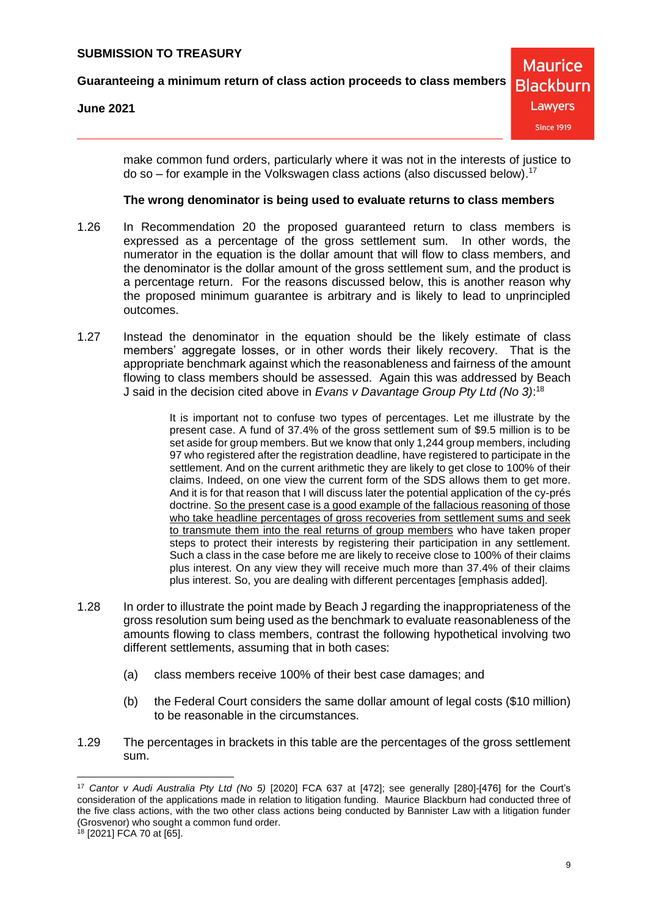### **June 2021**

make common fund orders, particularly where it was not in the interests of justice to do so – for example in the Volkswagen class actions (also discussed below). 17

#### **The wrong denominator is being used to evaluate returns to class members**

- 1.26 In Recommendation 20 the proposed guaranteed return to class members is expressed as a percentage of the gross settlement sum. In other words, the numerator in the equation is the dollar amount that will flow to class members, and the denominator is the dollar amount of the gross settlement sum, and the product is a percentage return. For the reasons discussed below, this is another reason why the proposed minimum guarantee is arbitrary and is likely to lead to unprincipled outcomes.
- 1.27 Instead the denominator in the equation should be the likely estimate of class members' aggregate losses, or in other words their likely recovery. That is the appropriate benchmark against which the reasonableness and fairness of the amount flowing to class members should be assessed. Again this was addressed by Beach J said in the decision cited above in *Evans v Davantage Group Pty Ltd (No 3)*: 18

It is important not to confuse two types of percentages. Let me illustrate by the present case. A fund of 37.4% of the gross settlement sum of \$9.5 million is to be set aside for group members. But we know that only 1,244 group members, including 97 who registered after the registration deadline, have registered to participate in the settlement. And on the current arithmetic they are likely to get close to 100% of their claims. Indeed, on one view the current form of the SDS allows them to get more. And it is for that reason that I will discuss later the potential application of the cy-prés doctrine. So the present case is a good example of the fallacious reasoning of those who take headline percentages of gross recoveries from settlement sums and seek to transmute them into the real returns of group members who have taken proper steps to protect their interests by registering their participation in any settlement. Such a class in the case before me are likely to receive close to 100% of their claims plus interest. On any view they will receive much more than 37.4% of their claims plus interest. So, you are dealing with different percentages [emphasis added].

- 1.28 In order to illustrate the point made by Beach J regarding the inappropriateness of the gross resolution sum being used as the benchmark to evaluate reasonableness of the amounts flowing to class members, contrast the following hypothetical involving two different settlements, assuming that in both cases:
	- (a) class members receive 100% of their best case damages; and
	- (b) the Federal Court considers the same dollar amount of legal costs (\$10 million) to be reasonable in the circumstances.
- 1.29 The percentages in brackets in this table are the percentages of the gross settlement sum.

 $\overline{a}$ <sup>17</sup> *Cantor v Audi Australia Pty Ltd (No 5)* [2020] FCA 637 at [472]; see generally [280]-[476] for the Court's consideration of the applications made in relation to litigation funding. Maurice Blackburn had conducted three of the five class actions, with the two other class actions being conducted by Bannister Law with a litigation funder (Grosvenor) who sought a common fund order.

 $18$  [2021] FCA 70 at [65].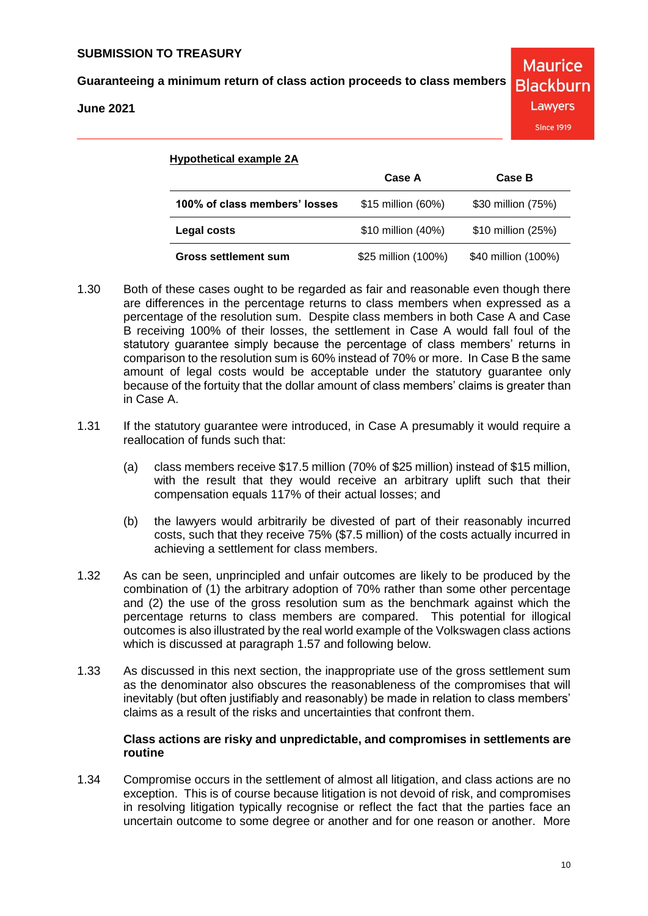**June 2021**

| <b>Hypothetical example 2A</b> |                     |                     |  |  |
|--------------------------------|---------------------|---------------------|--|--|
|                                | Case A              | Case B              |  |  |
| 100% of class members' losses  | \$15 million (60%)  | \$30 million (75%)  |  |  |
| <b>Legal costs</b>             | \$10 million (40%)  | \$10 million (25%)  |  |  |
| <b>Gross settlement sum</b>    | \$25 million (100%) | \$40 million (100%) |  |  |

- 1.30 Both of these cases ought to be regarded as fair and reasonable even though there are differences in the percentage returns to class members when expressed as a percentage of the resolution sum. Despite class members in both Case A and Case B receiving 100% of their losses, the settlement in Case A would fall foul of the statutory guarantee simply because the percentage of class members' returns in comparison to the resolution sum is 60% instead of 70% or more. In Case B the same amount of legal costs would be acceptable under the statutory guarantee only because of the fortuity that the dollar amount of class members' claims is greater than in Case A.
- 1.31 If the statutory guarantee were introduced, in Case A presumably it would require a reallocation of funds such that:
	- (a) class members receive \$17.5 million (70% of \$25 million) instead of \$15 million, with the result that they would receive an arbitrary uplift such that their compensation equals 117% of their actual losses; and
	- (b) the lawyers would arbitrarily be divested of part of their reasonably incurred costs, such that they receive 75% (\$7.5 million) of the costs actually incurred in achieving a settlement for class members.
- 1.32 As can be seen, unprincipled and unfair outcomes are likely to be produced by the combination of (1) the arbitrary adoption of 70% rather than some other percentage and (2) the use of the gross resolution sum as the benchmark against which the percentage returns to class members are compared. This potential for illogical outcomes is also illustrated by the real world example of the Volkswagen class actions which is discussed at paragraph [1.57](#page-18-0) and following below.
- 1.33 As discussed in this next section, the inappropriate use of the gross settlement sum as the denominator also obscures the reasonableness of the compromises that will inevitably (but often justifiably and reasonably) be made in relation to class members' claims as a result of the risks and uncertainties that confront them.

# **Class actions are risky and unpredictable, and compromises in settlements are routine**

1.34 Compromise occurs in the settlement of almost all litigation, and class actions are no exception. This is of course because litigation is not devoid of risk, and compromises in resolving litigation typically recognise or reflect the fact that the parties face an uncertain outcome to some degree or another and for one reason or another. More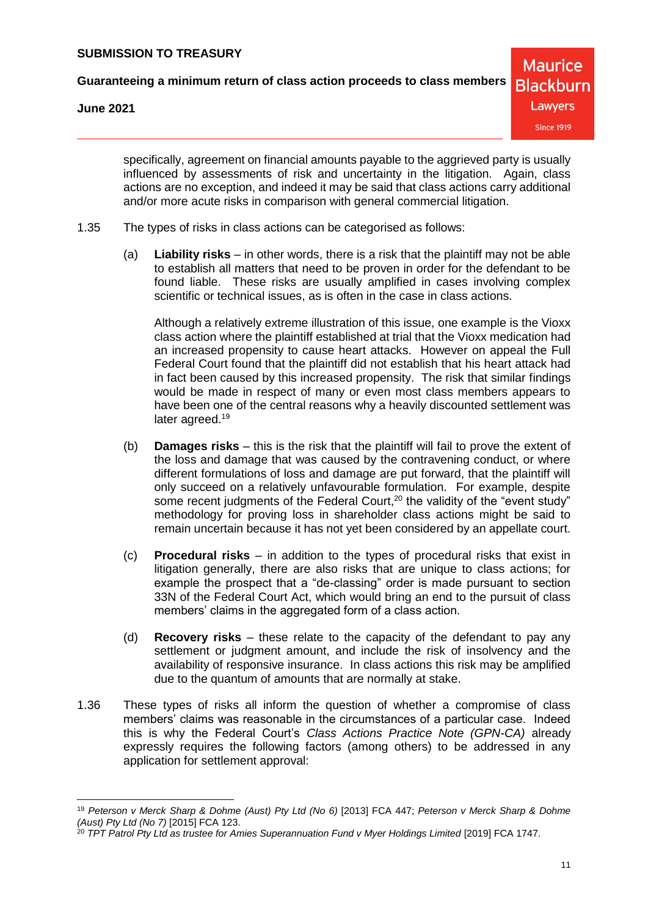**Guaranteeing a minimum return of class action proceeds to class members**

**June 2021**

**Maurice Blackburn** Lawyers **Since 1919** 

specifically, agreement on financial amounts payable to the aggrieved party is usually influenced by assessments of risk and uncertainty in the litigation. Again, class actions are no exception, and indeed it may be said that class actions carry additional and/or more acute risks in comparison with general commercial litigation.

- 1.35 The types of risks in class actions can be categorised as follows:
	- (a) **Liability risks** in other words, there is a risk that the plaintiff may not be able to establish all matters that need to be proven in order for the defendant to be found liable. These risks are usually amplified in cases involving complex scientific or technical issues, as is often in the case in class actions.

Although a relatively extreme illustration of this issue, one example is the Vioxx class action where the plaintiff established at trial that the Vioxx medication had an increased propensity to cause heart attacks. However on appeal the Full Federal Court found that the plaintiff did not establish that his heart attack had in fact been caused by this increased propensity. The risk that similar findings would be made in respect of many or even most class members appears to have been one of the central reasons why a heavily discounted settlement was later agreed.<sup>19</sup>

- (b) **Damages risks** this is the risk that the plaintiff will fail to prove the extent of the loss and damage that was caused by the contravening conduct, or where different formulations of loss and damage are put forward, that the plaintiff will only succeed on a relatively unfavourable formulation. For example, despite some recent judgments of the Federal Court,<sup>20</sup> the validity of the "event study" methodology for proving loss in shareholder class actions might be said to remain uncertain because it has not yet been considered by an appellate court.
- (c) **Procedural risks** in addition to the types of procedural risks that exist in litigation generally, there are also risks that are unique to class actions; for example the prospect that a "de-classing" order is made pursuant to section 33N of the Federal Court Act, which would bring an end to the pursuit of class members' claims in the aggregated form of a class action.
- (d) **Recovery risks** these relate to the capacity of the defendant to pay any settlement or judgment amount, and include the risk of insolvency and the availability of responsive insurance. In class actions this risk may be amplified due to the quantum of amounts that are normally at stake.
- 1.36 These types of risks all inform the question of whether a compromise of class members' claims was reasonable in the circumstances of a particular case. Indeed this is why the Federal Court's *Class Actions Practice Note (GPN-CA)* already expressly requires the following factors (among others) to be addressed in any application for settlement approval:

 <sup>19</sup> *Peterson v Merck Sharp & Dohme (Aust) Pty Ltd (No 6)* [2013] FCA 447; *Peterson v Merck Sharp & Dohme (Aust) Pty Ltd (No 7)* [2015] FCA 123.

<sup>20</sup> *TPT Patrol Pty Ltd as trustee for Amies Superannuation Fund v Myer Holdings Limited* [2019] FCA 1747.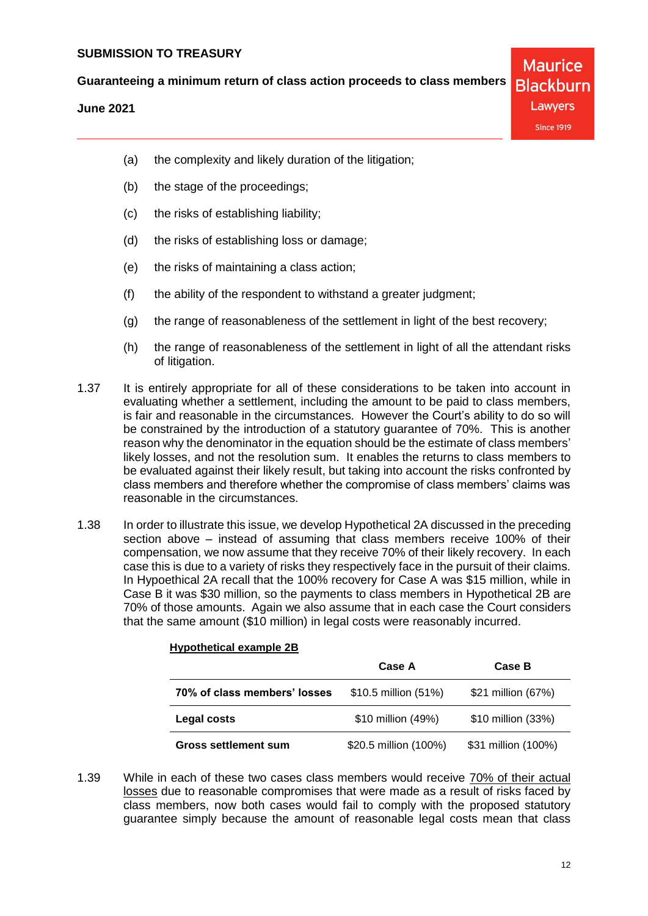**June 2021**

**Maurice Blackburn** Lawyers **Since 1919** 

- (a) the complexity and likely duration of the litigation;
- (b) the stage of the proceedings;
- (c) the risks of establishing liability;
- (d) the risks of establishing loss or damage;
- (e) the risks of maintaining a class action;
- (f) the ability of the respondent to withstand a greater judgment;
- (g) the range of reasonableness of the settlement in light of the best recovery;
- (h) the range of reasonableness of the settlement in light of all the attendant risks of litigation.
- 1.37 It is entirely appropriate for all of these considerations to be taken into account in evaluating whether a settlement, including the amount to be paid to class members, is fair and reasonable in the circumstances. However the Court's ability to do so will be constrained by the introduction of a statutory guarantee of 70%. This is another reason why the denominator in the equation should be the estimate of class members' likely losses, and not the resolution sum. It enables the returns to class members to be evaluated against their likely result, but taking into account the risks confronted by class members and therefore whether the compromise of class members' claims was reasonable in the circumstances.
- 1.38 In order to illustrate this issue, we develop Hypothetical 2A discussed in the preceding section above – instead of assuming that class members receive 100% of their compensation, we now assume that they receive 70% of their likely recovery. In each case this is due to a variety of risks they respectively face in the pursuit of their claims. In Hypoethical 2A recall that the 100% recovery for Case A was \$15 million, while in Case B it was \$30 million, so the payments to class members in Hypothetical 2B are 70% of those amounts. Again we also assume that in each case the Court considers that the same amount (\$10 million) in legal costs were reasonably incurred.

|                              | Case A                | Case B              |
|------------------------------|-----------------------|---------------------|
| 70% of class members' losses | \$10.5 million (51%)  | \$21 million (67%)  |
| Legal costs                  | \$10 million (49%)    | \$10 million (33%)  |
| <b>Gross settlement sum</b>  | \$20.5 million (100%) | \$31 million (100%) |

# **Hypothetical example 2B**

1.39 While in each of these two cases class members would receive 70% of their actual losses due to reasonable compromises that were made as a result of risks faced by class members, now both cases would fail to comply with the proposed statutory guarantee simply because the amount of reasonable legal costs mean that class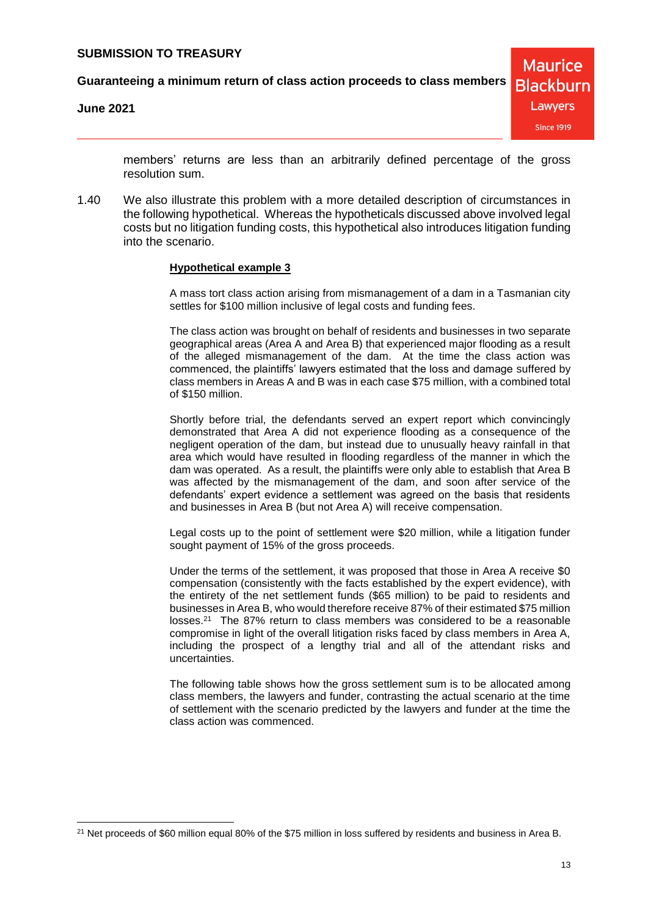**Guaranteeing a minimum return of class action proceeds to class members**

**June 2021**



members' returns are less than an arbitrarily defined percentage of the gross resolution sum.

1.40 We also illustrate this problem with a more detailed description of circumstances in the following hypothetical. Whereas the hypotheticals discussed above involved legal costs but no litigation funding costs, this hypothetical also introduces litigation funding into the scenario.

#### **Hypothetical example 3**

A mass tort class action arising from mismanagement of a dam in a Tasmanian city settles for \$100 million inclusive of legal costs and funding fees.

The class action was brought on behalf of residents and businesses in two separate geographical areas (Area A and Area B) that experienced major flooding as a result of the alleged mismanagement of the dam. At the time the class action was commenced, the plaintiffs' lawyers estimated that the loss and damage suffered by class members in Areas A and B was in each case \$75 million, with a combined total of \$150 million.

Shortly before trial, the defendants served an expert report which convincingly demonstrated that Area A did not experience flooding as a consequence of the negligent operation of the dam, but instead due to unusually heavy rainfall in that area which would have resulted in flooding regardless of the manner in which the dam was operated. As a result, the plaintiffs were only able to establish that Area B was affected by the mismanagement of the dam, and soon after service of the defendants' expert evidence a settlement was agreed on the basis that residents and businesses in Area B (but not Area A) will receive compensation.

Legal costs up to the point of settlement were \$20 million, while a litigation funder sought payment of 15% of the gross proceeds.

Under the terms of the settlement, it was proposed that those in Area A receive \$0 compensation (consistently with the facts established by the expert evidence), with the entirety of the net settlement funds (\$65 million) to be paid to residents and businesses in Area B, who would therefore receive 87% of their estimated \$75 million losses.<sup>21</sup> The 87% return to class members was considered to be a reasonable compromise in light of the overall litigation risks faced by class members in Area A, including the prospect of a lengthy trial and all of the attendant risks and uncertainties.

The following table shows how the gross settlement sum is to be allocated among class members, the lawyers and funder, contrasting the actual scenario at the time of settlement with the scenario predicted by the lawyers and funder at the time the class action was commenced.

<sup>&</sup>lt;sup>21</sup> Net proceeds of \$60 million equal 80% of the \$75 million in loss suffered by residents and business in Area B.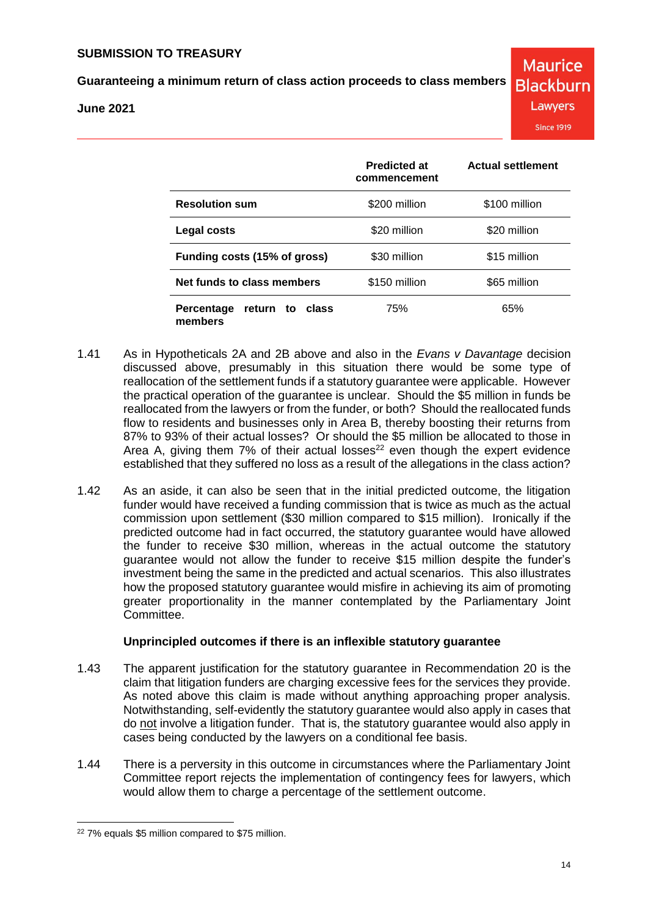# **Guaranteeing a minimum return of class action proceeds to class members**

#### **June 2021**

|                                                | <b>Predicted at</b><br>commencement | <b>Actual settlement</b> |
|------------------------------------------------|-------------------------------------|--------------------------|
| <b>Resolution sum</b>                          | \$200 million                       | \$100 million            |
| Legal costs                                    | \$20 million                        | \$20 million             |
| Funding costs (15% of gross)                   | \$30 million                        | \$15 million             |
| Net funds to class members                     | \$150 million                       | \$65 million             |
| class<br>Percentage<br>return<br>to<br>members | 75%                                 | 65%                      |

- 1.41 As in Hypotheticals 2A and 2B above and also in the *Evans v Davantage* decision discussed above, presumably in this situation there would be some type of reallocation of the settlement funds if a statutory guarantee were applicable. However the practical operation of the guarantee is unclear. Should the \$5 million in funds be reallocated from the lawyers or from the funder, or both? Should the reallocated funds flow to residents and businesses only in Area B, thereby boosting their returns from 87% to 93% of their actual losses? Or should the \$5 million be allocated to those in Area A, giving them  $7\%$  of their actual losses<sup>22</sup> even though the expert evidence established that they suffered no loss as a result of the allegations in the class action?
- 1.42 As an aside, it can also be seen that in the initial predicted outcome, the litigation funder would have received a funding commission that is twice as much as the actual commission upon settlement (\$30 million compared to \$15 million). Ironically if the predicted outcome had in fact occurred, the statutory guarantee would have allowed the funder to receive \$30 million, whereas in the actual outcome the statutory guarantee would not allow the funder to receive \$15 million despite the funder's investment being the same in the predicted and actual scenarios. This also illustrates how the proposed statutory guarantee would misfire in achieving its aim of promoting greater proportionality in the manner contemplated by the Parliamentary Joint Committee.

#### **Unprincipled outcomes if there is an inflexible statutory guarantee**

- 1.43 The apparent justification for the statutory guarantee in Recommendation 20 is the claim that litigation funders are charging excessive fees for the services they provide. As noted above this claim is made without anything approaching proper analysis. Notwithstanding, self-evidently the statutory guarantee would also apply in cases that do not involve a litigation funder. That is, the statutory guarantee would also apply in cases being conducted by the lawyers on a conditional fee basis.
- 1.44 There is a perversity in this outcome in circumstances where the Parliamentary Joint Committee report rejects the implementation of contingency fees for lawyers, which would allow them to charge a percentage of the settlement outcome.

 <sup>22</sup> 7% equals \$5 million compared to \$75 million.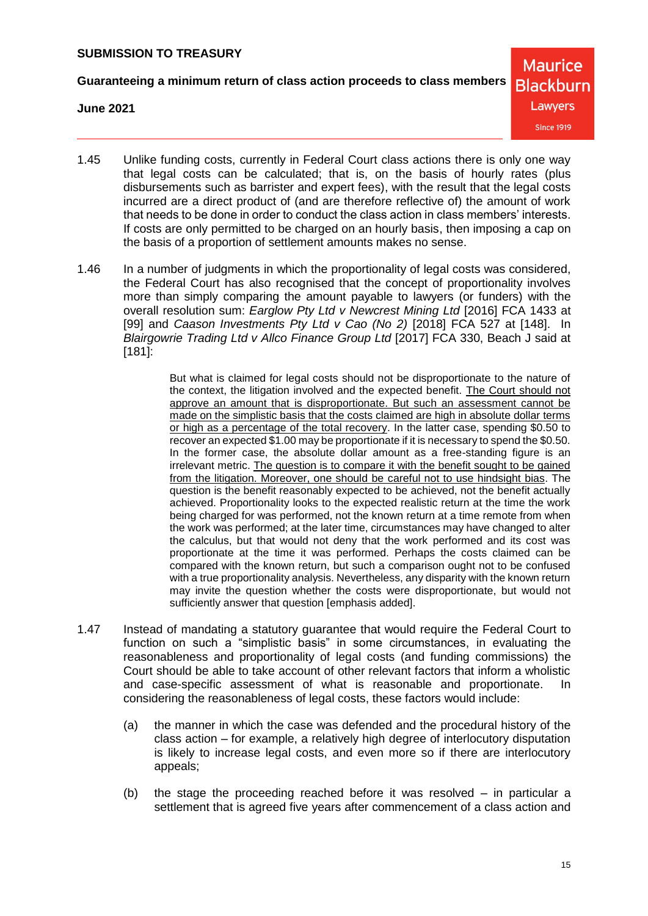**Guaranteeing a minimum return of class action proceeds to class members**

**June 2021**

**Maurice Blackburn** Lawyers **Since 1919** 

- 1.45 Unlike funding costs, currently in Federal Court class actions there is only one way that legal costs can be calculated; that is, on the basis of hourly rates (plus disbursements such as barrister and expert fees), with the result that the legal costs incurred are a direct product of (and are therefore reflective of) the amount of work that needs to be done in order to conduct the class action in class members' interests. If costs are only permitted to be charged on an hourly basis, then imposing a cap on the basis of a proportion of settlement amounts makes no sense.
- 1.46 In a number of judgments in which the proportionality of legal costs was considered, the Federal Court has also recognised that the concept of proportionality involves more than simply comparing the amount payable to lawyers (or funders) with the overall resolution sum: *Earglow Pty Ltd v Newcrest Mining Ltd* [2016] FCA 1433 at [99] and *Caason Investments Pty Ltd v Cao (No 2)* [2018] FCA 527 at [148]. In *Blairgowrie Trading Ltd v Allco Finance Group Ltd* [2017] FCA 330, Beach J said at [181]:

But what is claimed for legal costs should not be disproportionate to the nature of the context, the litigation involved and the expected benefit. The Court should not approve an amount that is disproportionate. But such an assessment cannot be made on the simplistic basis that the costs claimed are high in absolute dollar terms or high as a percentage of the total recovery. In the latter case, spending \$0.50 to recover an expected \$1.00 may be proportionate if it is necessary to spend the \$0.50. In the former case, the absolute dollar amount as a free-standing figure is an irrelevant metric. The question is to compare it with the benefit sought to be gained from the litigation. Moreover, one should be careful not to use hindsight bias. The question is the benefit reasonably expected to be achieved, not the benefit actually achieved. Proportionality looks to the expected realistic return at the time the work being charged for was performed, not the known return at a time remote from when the work was performed; at the later time, circumstances may have changed to alter the calculus, but that would not deny that the work performed and its cost was proportionate at the time it was performed. Perhaps the costs claimed can be compared with the known return, but such a comparison ought not to be confused with a true proportionality analysis. Nevertheless, any disparity with the known return may invite the question whether the costs were disproportionate, but would not sufficiently answer that question [emphasis added].

- 1.47 Instead of mandating a statutory guarantee that would require the Federal Court to function on such a "simplistic basis" in some circumstances, in evaluating the reasonableness and proportionality of legal costs (and funding commissions) the Court should be able to take account of other relevant factors that inform a wholistic and case-specific assessment of what is reasonable and proportionate. In considering the reasonableness of legal costs, these factors would include:
	- (a) the manner in which the case was defended and the procedural history of the class action – for example, a relatively high degree of interlocutory disputation is likely to increase legal costs, and even more so if there are interlocutory appeals;
	- (b) the stage the proceeding reached before it was resolved in particular a settlement that is agreed five years after commencement of a class action and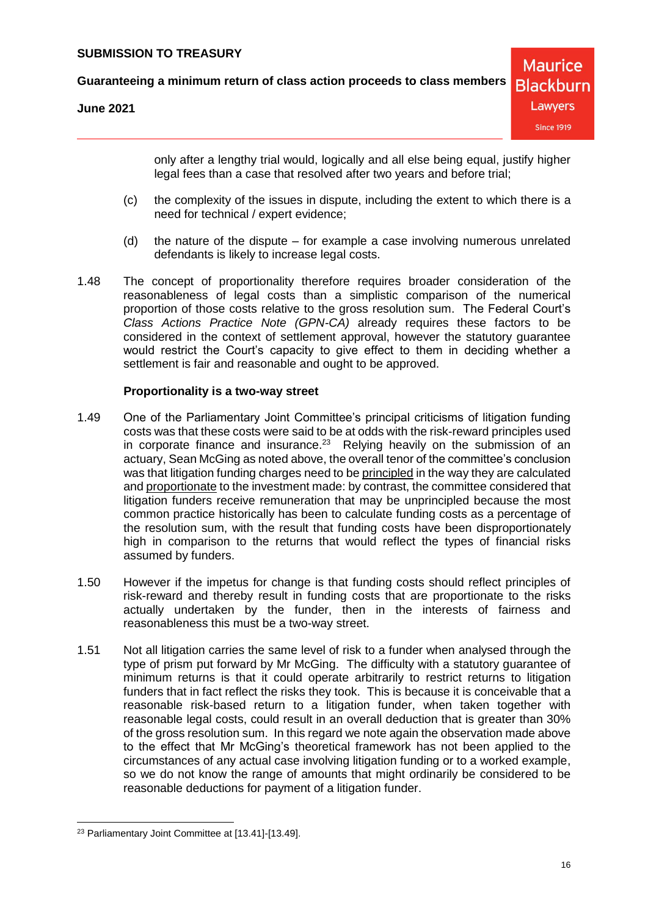**Guaranteeing a minimum return of class action proceeds to class members**

**June 2021**

only after a lengthy trial would, logically and all else being equal, justify higher legal fees than a case that resolved after two years and before trial;

- (c) the complexity of the issues in dispute, including the extent to which there is a need for technical / expert evidence;
- (d) the nature of the dispute for example a case involving numerous unrelated defendants is likely to increase legal costs.
- 1.48 The concept of proportionality therefore requires broader consideration of the reasonableness of legal costs than a simplistic comparison of the numerical proportion of those costs relative to the gross resolution sum. The Federal Court's *Class Actions Practice Note (GPN-CA)* already requires these factors to be considered in the context of settlement approval, however the statutory guarantee would restrict the Court's capacity to give effect to them in deciding whether a settlement is fair and reasonable and ought to be approved.

#### **Proportionality is a two-way street**

- 1.49 One of the Parliamentary Joint Committee's principal criticisms of litigation funding costs was that these costs were said to be at odds with the risk-reward principles used in corporate finance and insurance.<sup>23</sup> Relying heavily on the submission of an actuary, Sean McGing as noted above, the overall tenor of the committee's conclusion was that litigation funding charges need to be principled in the way they are calculated and proportionate to the investment made: by contrast, the committee considered that litigation funders receive remuneration that may be unprincipled because the most common practice historically has been to calculate funding costs as a percentage of the resolution sum, with the result that funding costs have been disproportionately high in comparison to the returns that would reflect the types of financial risks assumed by funders.
- 1.50 However if the impetus for change is that funding costs should reflect principles of risk-reward and thereby result in funding costs that are proportionate to the risks actually undertaken by the funder, then in the interests of fairness and reasonableness this must be a two-way street.
- 1.51 Not all litigation carries the same level of risk to a funder when analysed through the type of prism put forward by Mr McGing. The difficulty with a statutory guarantee of minimum returns is that it could operate arbitrarily to restrict returns to litigation funders that in fact reflect the risks they took. This is because it is conceivable that a reasonable risk-based return to a litigation funder, when taken together with reasonable legal costs, could result in an overall deduction that is greater than 30% of the gross resolution sum. In this regard we note again the observation made above to the effect that Mr McGing's theoretical framework has not been applied to the circumstances of any actual case involving litigation funding or to a worked example, so we do not know the range of amounts that might ordinarily be considered to be reasonable deductions for payment of a litigation funder.

<sup>23</sup> Parliamentary Joint Committee at [13.41]-[13.49].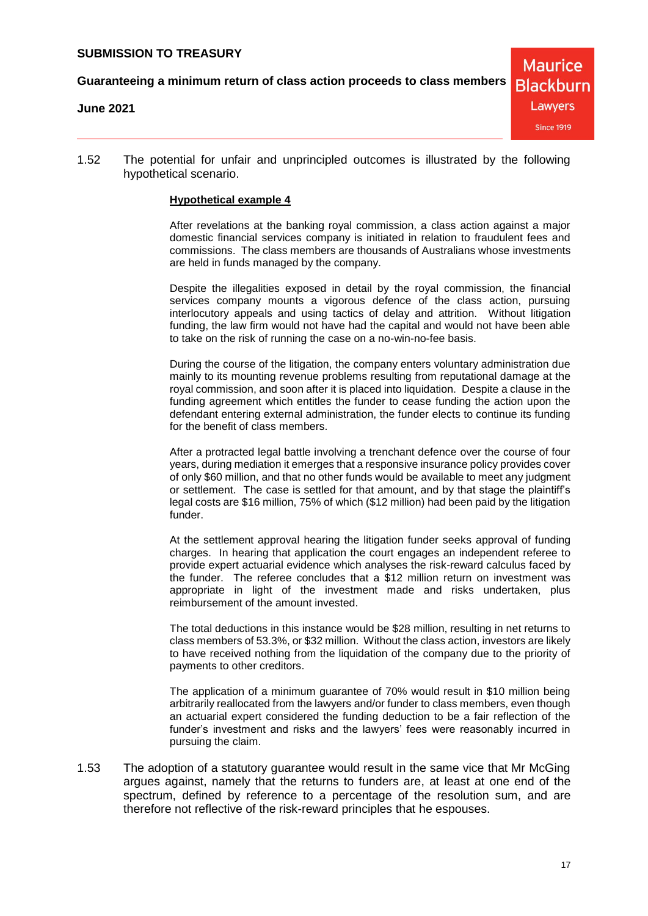**Guaranteeing a minimum return of class action proceeds to class members**

#### **June 2021**

**Maurice Blackburn** Lawyers **Since 1919** 

1.52 The potential for unfair and unprincipled outcomes is illustrated by the following hypothetical scenario.

# **Hypothetical example 4**

After revelations at the banking royal commission, a class action against a major domestic financial services company is initiated in relation to fraudulent fees and commissions. The class members are thousands of Australians whose investments are held in funds managed by the company.

Despite the illegalities exposed in detail by the royal commission, the financial services company mounts a vigorous defence of the class action, pursuing interlocutory appeals and using tactics of delay and attrition. Without litigation funding, the law firm would not have had the capital and would not have been able to take on the risk of running the case on a no-win-no-fee basis.

During the course of the litigation, the company enters voluntary administration due mainly to its mounting revenue problems resulting from reputational damage at the royal commission, and soon after it is placed into liquidation. Despite a clause in the funding agreement which entitles the funder to cease funding the action upon the defendant entering external administration, the funder elects to continue its funding for the benefit of class members.

After a protracted legal battle involving a trenchant defence over the course of four years, during mediation it emerges that a responsive insurance policy provides cover of only \$60 million, and that no other funds would be available to meet any judgment or settlement. The case is settled for that amount, and by that stage the plaintiff's legal costs are \$16 million, 75% of which (\$12 million) had been paid by the litigation funder.

At the settlement approval hearing the litigation funder seeks approval of funding charges. In hearing that application the court engages an independent referee to provide expert actuarial evidence which analyses the risk-reward calculus faced by the funder. The referee concludes that a \$12 million return on investment was appropriate in light of the investment made and risks undertaken, plus reimbursement of the amount invested.

The total deductions in this instance would be \$28 million, resulting in net returns to class members of 53.3%, or \$32 million. Without the class action, investors are likely to have received nothing from the liquidation of the company due to the priority of payments to other creditors.

The application of a minimum guarantee of 70% would result in \$10 million being arbitrarily reallocated from the lawyers and/or funder to class members, even though an actuarial expert considered the funding deduction to be a fair reflection of the funder's investment and risks and the lawyers' fees were reasonably incurred in pursuing the claim.

1.53 The adoption of a statutory guarantee would result in the same vice that Mr McGing argues against, namely that the returns to funders are, at least at one end of the spectrum, defined by reference to a percentage of the resolution sum, and are therefore not reflective of the risk-reward principles that he espouses.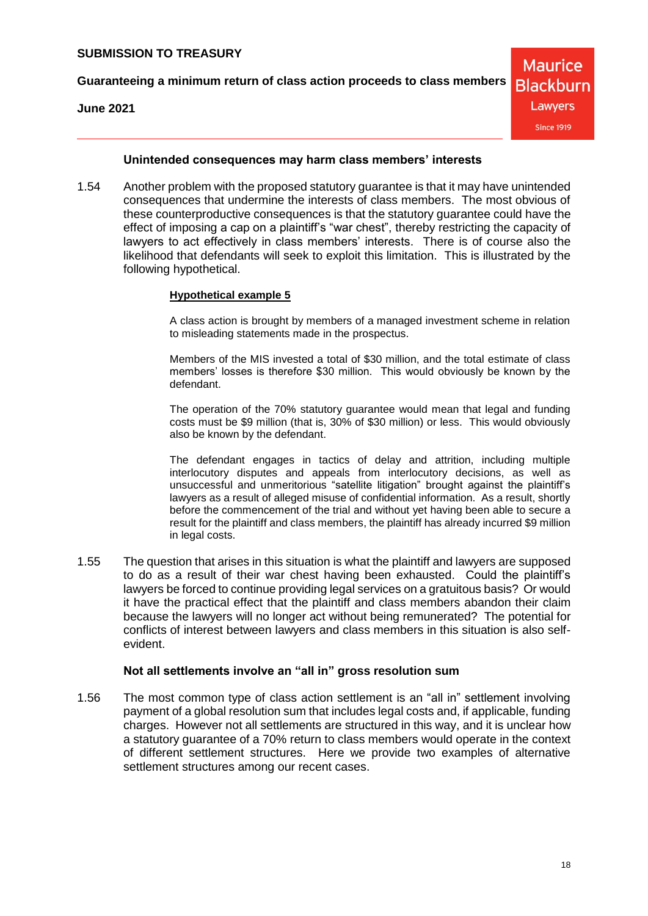**Guaranteeing a minimum return of class action proceeds to class members**

**June 2021**

**Maurice Blackburn** Lawyers **Since 1919** 

#### **Unintended consequences may harm class members' interests**

1.54 Another problem with the proposed statutory guarantee is that it may have unintended consequences that undermine the interests of class members. The most obvious of these counterproductive consequences is that the statutory guarantee could have the effect of imposing a cap on a plaintiff's "war chest", thereby restricting the capacity of lawyers to act effectively in class members' interests. There is of course also the likelihood that defendants will seek to exploit this limitation. This is illustrated by the following hypothetical.

#### **Hypothetical example 5**

A class action is brought by members of a managed investment scheme in relation to misleading statements made in the prospectus.

Members of the MIS invested a total of \$30 million, and the total estimate of class members' losses is therefore \$30 million. This would obviously be known by the defendant.

The operation of the 70% statutory guarantee would mean that legal and funding costs must be \$9 million (that is, 30% of \$30 million) or less. This would obviously also be known by the defendant.

The defendant engages in tactics of delay and attrition, including multiple interlocutory disputes and appeals from interlocutory decisions, as well as unsuccessful and unmeritorious "satellite litigation" brought against the plaintiff's lawyers as a result of alleged misuse of confidential information. As a result, shortly before the commencement of the trial and without yet having been able to secure a result for the plaintiff and class members, the plaintiff has already incurred \$9 million in legal costs.

1.55 The question that arises in this situation is what the plaintiff and lawyers are supposed to do as a result of their war chest having been exhausted. Could the plaintiff's lawyers be forced to continue providing legal services on a gratuitous basis? Or would it have the practical effect that the plaintiff and class members abandon their claim because the lawyers will no longer act without being remunerated? The potential for conflicts of interest between lawyers and class members in this situation is also selfevident.

#### **Not all settlements involve an "all in" gross resolution sum**

1.56 The most common type of class action settlement is an "all in" settlement involving payment of a global resolution sum that includes legal costs and, if applicable, funding charges. However not all settlements are structured in this way, and it is unclear how a statutory guarantee of a 70% return to class members would operate in the context of different settlement structures. Here we provide two examples of alternative settlement structures among our recent cases.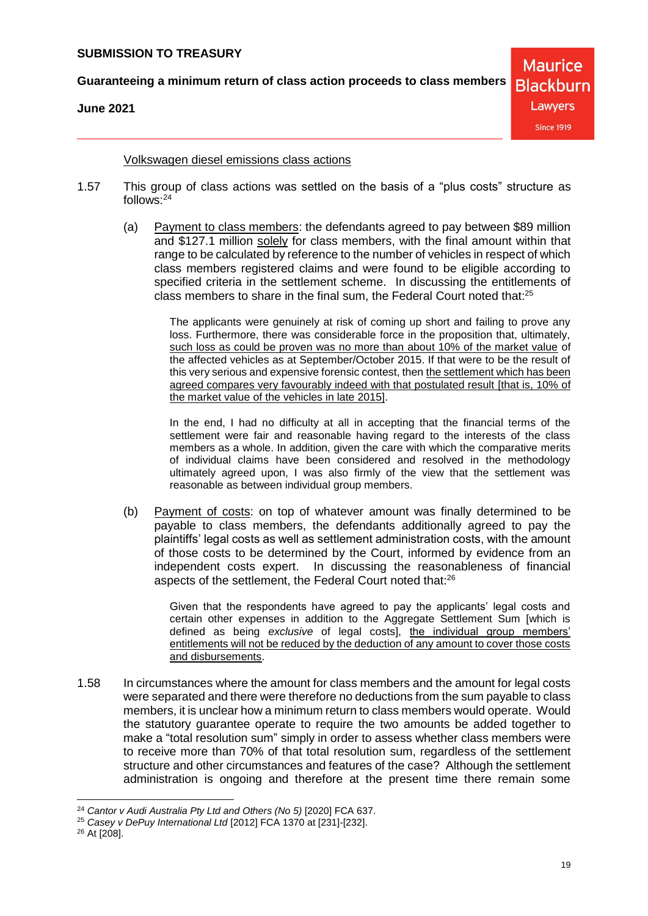**Guaranteeing a minimum return of class action proceeds to class members**

**June 2021**

**Maurice Blackburn** Lawyers **Since 1919** 

Volkswagen diesel emissions class actions

- <span id="page-18-0"></span>1.57 This group of class actions was settled on the basis of a "plus costs" structure as follows: 24
	- (a) Payment to class members: the defendants agreed to pay between \$89 million and \$127.1 million solely for class members, with the final amount within that range to be calculated by reference to the number of vehicles in respect of which class members registered claims and were found to be eligible according to specified criteria in the settlement scheme. In discussing the entitlements of class members to share in the final sum, the Federal Court noted that:<sup>25</sup>

The applicants were genuinely at risk of coming up short and failing to prove any loss. Furthermore, there was considerable force in the proposition that, ultimately, such loss as could be proven was no more than about 10% of the market value of the affected vehicles as at September/October 2015. If that were to be the result of this very serious and expensive forensic contest, then the settlement which has been agreed compares very favourably indeed with that postulated result [that is, 10% of the market value of the vehicles in late 2015].

In the end, I had no difficulty at all in accepting that the financial terms of the settlement were fair and reasonable having regard to the interests of the class members as a whole. In addition, given the care with which the comparative merits of individual claims have been considered and resolved in the methodology ultimately agreed upon, I was also firmly of the view that the settlement was reasonable as between individual group members.

(b) Payment of costs: on top of whatever amount was finally determined to be payable to class members, the defendants additionally agreed to pay the plaintiffs' legal costs as well as settlement administration costs, with the amount of those costs to be determined by the Court, informed by evidence from an independent costs expert. In discussing the reasonableness of financial aspects of the settlement, the Federal Court noted that:<sup>26</sup>

> Given that the respondents have agreed to pay the applicants' legal costs and certain other expenses in addition to the Aggregate Settlement Sum [which is defined as being *exclusive* of legal costs], the individual group members' entitlements will not be reduced by the deduction of any amount to cover those costs and disbursements.

1.58 In circumstances where the amount for class members and the amount for legal costs were separated and there were therefore no deductions from the sum payable to class members, it is unclear how a minimum return to class members would operate. Would the statutory guarantee operate to require the two amounts be added together to make a "total resolution sum" simply in order to assess whether class members were to receive more than 70% of that total resolution sum, regardless of the settlement structure and other circumstances and features of the case? Although the settlement administration is ongoing and therefore at the present time there remain some

 <sup>24</sup> *Cantor v Audi Australia Pty Ltd and Others (No 5)* [2020] FCA 637.

<sup>25</sup> *Casey v DePuy International Ltd* [2012] FCA 1370 at [231]-[232].

<sup>26</sup> At [208].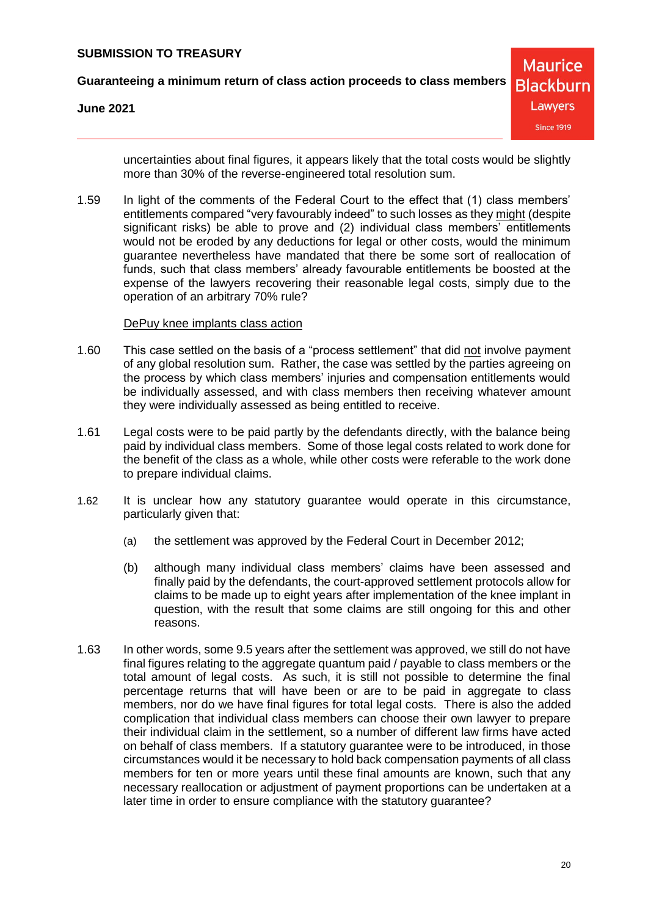**Guaranteeing a minimum return of class action proceeds to class members**

**June 2021**

**Maurice Blackburn** Lawyers **Since 1919** 

uncertainties about final figures, it appears likely that the total costs would be slightly more than 30% of the reverse-engineered total resolution sum.

1.59 In light of the comments of the Federal Court to the effect that (1) class members' entitlements compared "very favourably indeed" to such losses as they might (despite significant risks) be able to prove and (2) individual class members' entitlements would not be eroded by any deductions for legal or other costs, would the minimum guarantee nevertheless have mandated that there be some sort of reallocation of funds, such that class members' already favourable entitlements be boosted at the expense of the lawyers recovering their reasonable legal costs, simply due to the operation of an arbitrary 70% rule?

#### DePuy knee implants class action

- 1.60 This case settled on the basis of a "process settlement" that did not involve payment of any global resolution sum. Rather, the case was settled by the parties agreeing on the process by which class members' injuries and compensation entitlements would be individually assessed, and with class members then receiving whatever amount they were individually assessed as being entitled to receive.
- 1.61 Legal costs were to be paid partly by the defendants directly, with the balance being paid by individual class members. Some of those legal costs related to work done for the benefit of the class as a whole, while other costs were referable to the work done to prepare individual claims.
- 1.62 It is unclear how any statutory guarantee would operate in this circumstance, particularly given that:
	- (a) the settlement was approved by the Federal Court in December 2012;
	- (b) although many individual class members' claims have been assessed and finally paid by the defendants, the court-approved settlement protocols allow for claims to be made up to eight years after implementation of the knee implant in question, with the result that some claims are still ongoing for this and other reasons.
- 1.63 In other words, some 9.5 years after the settlement was approved, we still do not have final figures relating to the aggregate quantum paid / payable to class members or the total amount of legal costs. As such, it is still not possible to determine the final percentage returns that will have been or are to be paid in aggregate to class members, nor do we have final figures for total legal costs. There is also the added complication that individual class members can choose their own lawyer to prepare their individual claim in the settlement, so a number of different law firms have acted on behalf of class members. If a statutory guarantee were to be introduced, in those circumstances would it be necessary to hold back compensation payments of all class members for ten or more years until these final amounts are known, such that any necessary reallocation or adjustment of payment proportions can be undertaken at a later time in order to ensure compliance with the statutory guarantee?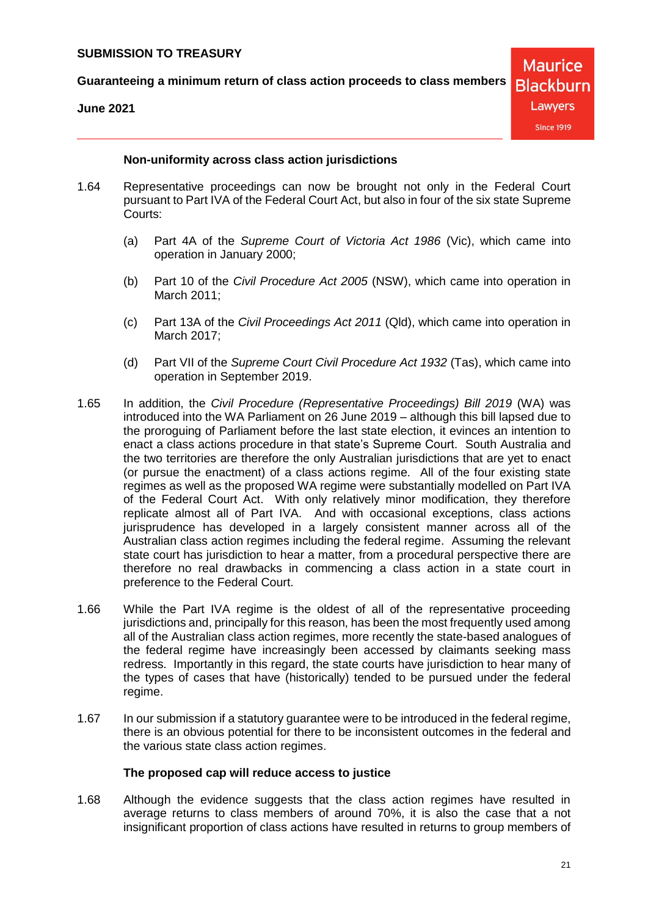**Guaranteeing a minimum return of class action proceeds to class members**

**June 2021**

**Maurice Blackburn** Lawyers **Since 1919** 

#### **Non-uniformity across class action jurisdictions**

- 1.64 Representative proceedings can now be brought not only in the Federal Court pursuant to Part IVA of the Federal Court Act, but also in four of the six state Supreme Courts:
	- (a) Part 4A of the *Supreme Court of Victoria Act 1986* (Vic), which came into operation in January 2000;
	- (b) Part 10 of the *Civil Procedure Act 2005* (NSW), which came into operation in March 2011;
	- (c) Part 13A of the *Civil Proceedings Act 2011* (Qld), which came into operation in March 2017;
	- (d) Part VII of the *Supreme Court Civil Procedure Act 1932* (Tas), which came into operation in September 2019.
- 1.65 In addition, the *Civil Procedure (Representative Proceedings) Bill 2019* (WA) was introduced into the WA Parliament on 26 June 2019 – although this bill lapsed due to the proroguing of Parliament before the last state election, it evinces an intention to enact a class actions procedure in that state's Supreme Court. South Australia and the two territories are therefore the only Australian jurisdictions that are yet to enact (or pursue the enactment) of a class actions regime. All of the four existing state regimes as well as the proposed WA regime were substantially modelled on Part IVA of the Federal Court Act. With only relatively minor modification, they therefore replicate almost all of Part IVA. And with occasional exceptions, class actions jurisprudence has developed in a largely consistent manner across all of the Australian class action regimes including the federal regime. Assuming the relevant state court has jurisdiction to hear a matter, from a procedural perspective there are therefore no real drawbacks in commencing a class action in a state court in preference to the Federal Court.
- 1.66 While the Part IVA regime is the oldest of all of the representative proceeding jurisdictions and, principally for this reason, has been the most frequently used among all of the Australian class action regimes, more recently the state-based analogues of the federal regime have increasingly been accessed by claimants seeking mass redress. Importantly in this regard, the state courts have jurisdiction to hear many of the types of cases that have (historically) tended to be pursued under the federal regime.
- 1.67 In our submission if a statutory guarantee were to be introduced in the federal regime, there is an obvious potential for there to be inconsistent outcomes in the federal and the various state class action regimes.

#### **The proposed cap will reduce access to justice**

1.68 Although the evidence suggests that the class action regimes have resulted in average returns to class members of around 70%, it is also the case that a not insignificant proportion of class actions have resulted in returns to group members of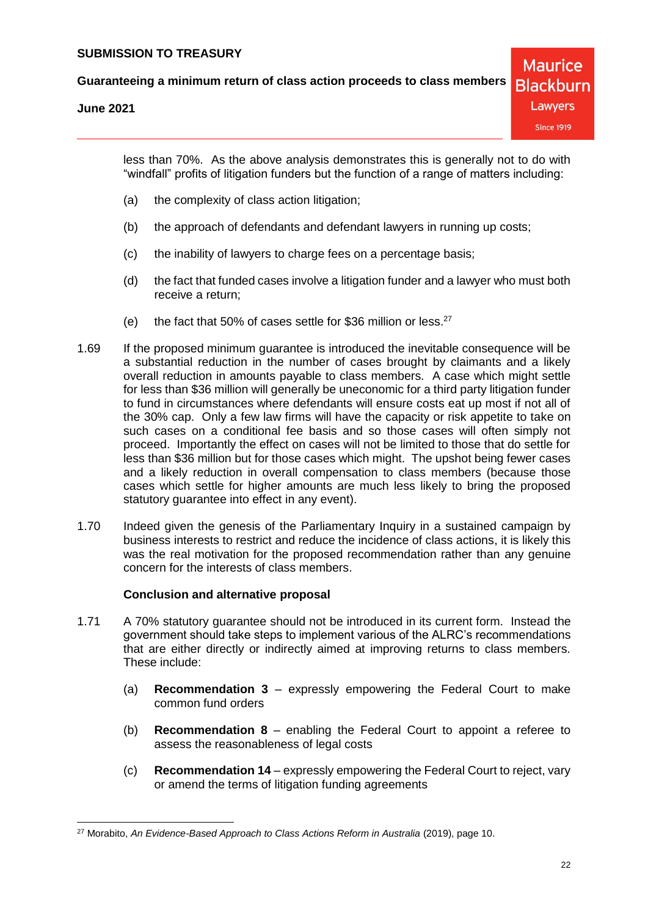**June 2021**

less than 70%. As the above analysis demonstrates this is generally not to do with "windfall" profits of litigation funders but the function of a range of matters including:

- (a) the complexity of class action litigation;
- (b) the approach of defendants and defendant lawyers in running up costs;
- (c) the inability of lawyers to charge fees on a percentage basis;
- (d) the fact that funded cases involve a litigation funder and a lawyer who must both receive a return;
- (e) the fact that 50% of cases settle for \$36 million or less. $27$
- 1.69 If the proposed minimum guarantee is introduced the inevitable consequence will be a substantial reduction in the number of cases brought by claimants and a likely overall reduction in amounts payable to class members. A case which might settle for less than \$36 million will generally be uneconomic for a third party litigation funder to fund in circumstances where defendants will ensure costs eat up most if not all of the 30% cap. Only a few law firms will have the capacity or risk appetite to take on such cases on a conditional fee basis and so those cases will often simply not proceed. Importantly the effect on cases will not be limited to those that do settle for less than \$36 million but for those cases which might. The upshot being fewer cases and a likely reduction in overall compensation to class members (because those cases which settle for higher amounts are much less likely to bring the proposed statutory guarantee into effect in any event).
- 1.70 Indeed given the genesis of the Parliamentary Inquiry in a sustained campaign by business interests to restrict and reduce the incidence of class actions, it is likely this was the real motivation for the proposed recommendation rather than any genuine concern for the interests of class members.

#### **Conclusion and alternative proposal**

- 1.71 A 70% statutory guarantee should not be introduced in its current form. Instead the government should take steps to implement various of the ALRC's recommendations that are either directly or indirectly aimed at improving returns to class members. These include:
	- (a) **Recommendation 3**  expressly empowering the Federal Court to make common fund orders
	- (b) **Recommendation 8**  enabling the Federal Court to appoint a referee to assess the reasonableness of legal costs
	- (c) **Recommendation 14**  expressly empowering the Federal Court to reject, vary or amend the terms of litigation funding agreements

<sup>&</sup>lt;sup>27</sup> Morabito, *An Evidence-Based Approach to Class Actions Reform in Australia (2019)*, page 10.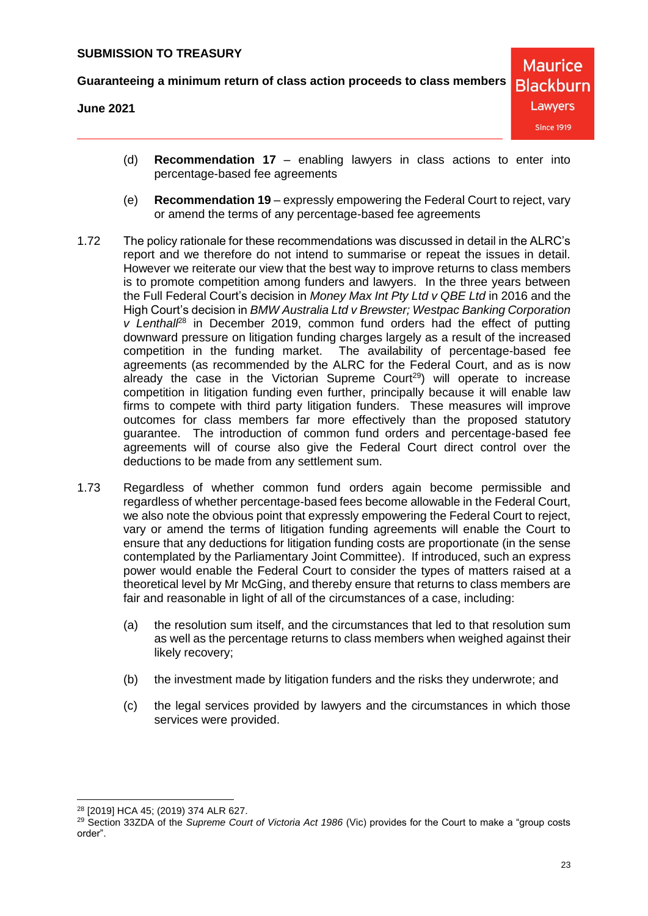**June 2021**

- (d) **Recommendation 17** enabling lawyers in class actions to enter into percentage-based fee agreements
- (e) **Recommendation 19** expressly empowering the Federal Court to reject, vary or amend the terms of any percentage-based fee agreements
- 1.72 The policy rationale for these recommendations was discussed in detail in the ALRC's report and we therefore do not intend to summarise or repeat the issues in detail. However we reiterate our view that the best way to improve returns to class members is to promote competition among funders and lawyers. In the three years between the Full Federal Court's decision in *Money Max Int Pty Ltd v QBE Ltd* in 2016 and the High Court's decision in *BMW Australia Ltd v Brewster; Westpac Banking Corporation v Lenthall*<sup>28</sup> in December 2019, common fund orders had the effect of putting downward pressure on litigation funding charges largely as a result of the increased competition in the funding market. The availability of percentage-based fee agreements (as recommended by the ALRC for the Federal Court, and as is now already the case in the Victorian Supreme Court<sup>29</sup>) will operate to increase competition in litigation funding even further, principally because it will enable law firms to compete with third party litigation funders. These measures will improve outcomes for class members far more effectively than the proposed statutory guarantee. The introduction of common fund orders and percentage-based fee agreements will of course also give the Federal Court direct control over the deductions to be made from any settlement sum.
- <span id="page-22-0"></span>1.73 Regardless of whether common fund orders again become permissible and regardless of whether percentage-based fees become allowable in the Federal Court, we also note the obvious point that expressly empowering the Federal Court to reject, vary or amend the terms of litigation funding agreements will enable the Court to ensure that any deductions for litigation funding costs are proportionate (in the sense contemplated by the Parliamentary Joint Committee). If introduced, such an express power would enable the Federal Court to consider the types of matters raised at a theoretical level by Mr McGing, and thereby ensure that returns to class members are fair and reasonable in light of all of the circumstances of a case, including:
	- (a) the resolution sum itself, and the circumstances that led to that resolution sum as well as the percentage returns to class members when weighed against their likely recovery;
	- (b) the investment made by litigation funders and the risks they underwrote; and
	- (c) the legal services provided by lawyers and the circumstances in which those services were provided.

 <sup>28</sup> [2019] HCA 45; (2019) 374 ALR 627.

<sup>&</sup>lt;sup>29</sup> Section 33ZDA of the *Supreme Court of Victoria Act 1986* (Vic) provides for the Court to make a "group costs order".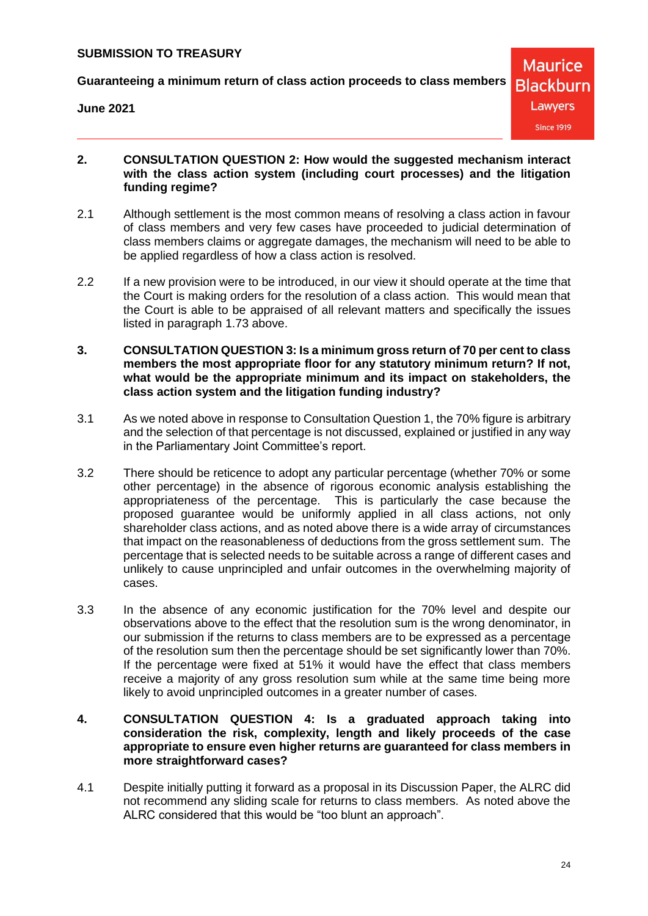**Guaranteeing a minimum return of class action proceeds to class members**

**June 2021**

**Maurice Blackburn** Lawyers **Since 1919** 

- **2. CONSULTATION QUESTION 2: How would the suggested mechanism interact with the class action system (including court processes) and the litigation funding regime?**
- 2.1 Although settlement is the most common means of resolving a class action in favour of class members and very few cases have proceeded to judicial determination of class members claims or aggregate damages, the mechanism will need to be able to be applied regardless of how a class action is resolved.
- 2.2 If a new provision were to be introduced, in our view it should operate at the time that the Court is making orders for the resolution of a class action. This would mean that the Court is able to be appraised of all relevant matters and specifically the issues listed in paragraph [1.73](#page-22-0) above.
- **3. CONSULTATION QUESTION 3: Is a minimum gross return of 70 per cent to class members the most appropriate floor for any statutory minimum return? If not, what would be the appropriate minimum and its impact on stakeholders, the class action system and the litigation funding industry?**
- 3.1 As we noted above in response to Consultation Question 1, the 70% figure is arbitrary and the selection of that percentage is not discussed, explained or justified in any way in the Parliamentary Joint Committee's report.
- 3.2 There should be reticence to adopt any particular percentage (whether 70% or some other percentage) in the absence of rigorous economic analysis establishing the appropriateness of the percentage. This is particularly the case because the proposed guarantee would be uniformly applied in all class actions, not only shareholder class actions, and as noted above there is a wide array of circumstances that impact on the reasonableness of deductions from the gross settlement sum. The percentage that is selected needs to be suitable across a range of different cases and unlikely to cause unprincipled and unfair outcomes in the overwhelming majority of cases.
- 3.3 In the absence of any economic justification for the 70% level and despite our observations above to the effect that the resolution sum is the wrong denominator, in our submission if the returns to class members are to be expressed as a percentage of the resolution sum then the percentage should be set significantly lower than 70%. If the percentage were fixed at 51% it would have the effect that class members receive a majority of any gross resolution sum while at the same time being more likely to avoid unprincipled outcomes in a greater number of cases.
- **4. CONSULTATION QUESTION 4: Is a graduated approach taking into consideration the risk, complexity, length and likely proceeds of the case appropriate to ensure even higher returns are guaranteed for class members in more straightforward cases?**
- 4.1 Despite initially putting it forward as a proposal in its Discussion Paper, the ALRC did not recommend any sliding scale for returns to class members. As noted above the ALRC considered that this would be "too blunt an approach".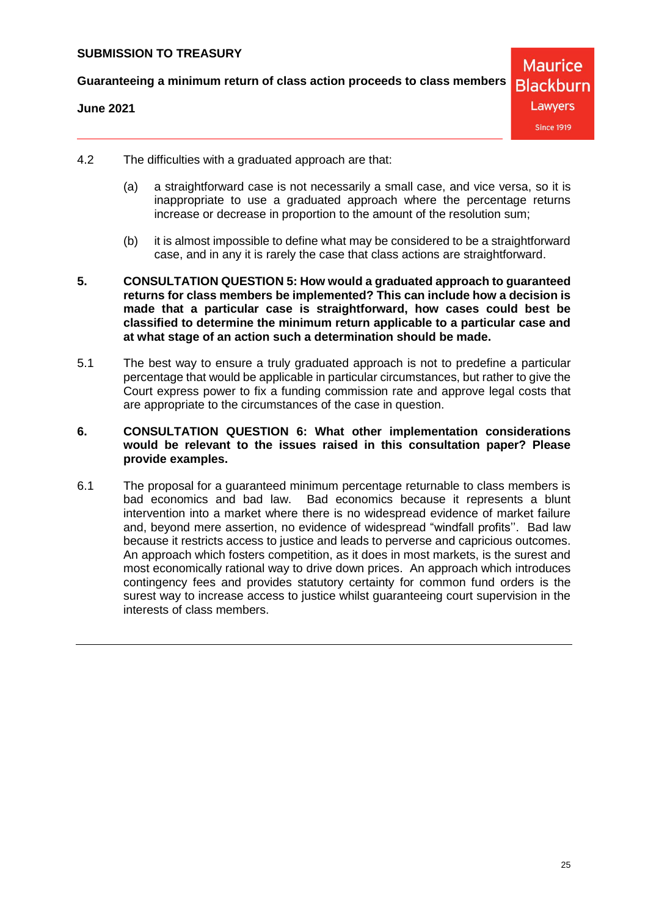**Guaranteeing a minimum return of class action proceeds to class members**

#### **June 2021**

**Maurice Blackburn** Lawyers **Since 1919** 

- 4.2 The difficulties with a graduated approach are that:
	- (a) a straightforward case is not necessarily a small case, and vice versa, so it is inappropriate to use a graduated approach where the percentage returns increase or decrease in proportion to the amount of the resolution sum;
	- (b) it is almost impossible to define what may be considered to be a straightforward case, and in any it is rarely the case that class actions are straightforward.
- **5. CONSULTATION QUESTION 5: How would a graduated approach to guaranteed returns for class members be implemented? This can include how a decision is made that a particular case is straightforward, how cases could best be classified to determine the minimum return applicable to a particular case and at what stage of an action such a determination should be made.**
- 5.1 The best way to ensure a truly graduated approach is not to predefine a particular percentage that would be applicable in particular circumstances, but rather to give the Court express power to fix a funding commission rate and approve legal costs that are appropriate to the circumstances of the case in question.

#### **6. CONSULTATION QUESTION 6: What other implementation considerations would be relevant to the issues raised in this consultation paper? Please provide examples.**

6.1 The proposal for a guaranteed minimum percentage returnable to class members is bad economics and bad law. Bad economics because it represents a blunt intervention into a market where there is no widespread evidence of market failure and, beyond mere assertion, no evidence of widespread "windfall profits''. Bad law because it restricts access to justice and leads to perverse and capricious outcomes. An approach which fosters competition, as it does in most markets, is the surest and most economically rational way to drive down prices. An approach which introduces contingency fees and provides statutory certainty for common fund orders is the surest way to increase access to justice whilst guaranteeing court supervision in the interests of class members.